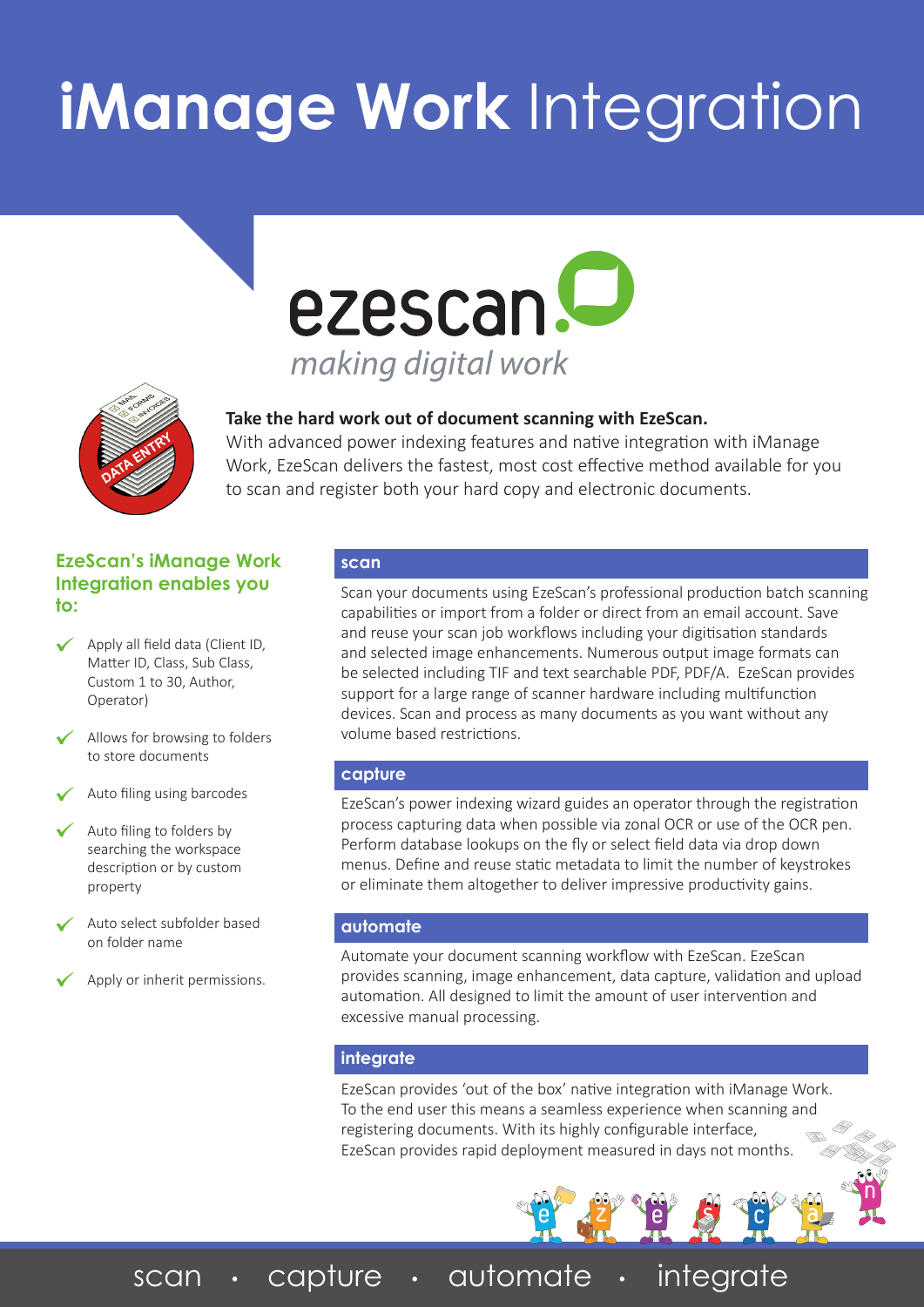# **iManage Work** Integration





**Take the hard work out of document scanning with EzeScan.** 

With advanced power indexing features and native integration with iManage Work, EzeScan delivers the fastest, most cost effective method available for you to scan and register both your hard copy and electronic documents.

### **EzeScan's iManage Work Integration enables you to:**

- Apply all field data (Client ID, Matter ID, Class, Sub Class, Custom 1 to 30, Author, Operator)
- Allows for browsing to folders to store documents
- Auto filing using barcodes
- Auto filing to folders by searching the workspace description or by custom property
- Auto select subfolder based on folder name
- Apply or inherit permissions.

#### **scan**

Scan your documents using EzeScan's professional production batch scanning capabilities or import from a folder or direct from an email account. Save and reuse your scan job workflows including your digitisation standards and selected image enhancements. Numerous output image formats can be selected including TIF and text searchable PDF, PDF/A. EzeScan provides support for a large range of scanner hardware including multifunction devices. Scan and process as many documents as you want without any volume based restrictions.

### **capture**

EzeScan's power indexing wizard guides an operator through the registration process capturing data when possible via zonal OCR or use of the OCR pen. Perform database lookups on the fly or select field data via drop down menus. Define and reuse static metadata to limit the number of keystrokes or eliminate them altogether to deliver impressive productivity gains.

### **automate**

Automate your document scanning workflow with EzeScan. EzeScan provides scanning, image enhancement, data capture, validation and upload automation. All designed to limit the amount of user intervention and excessive manual processing.

### **integrate**

EzeScan provides 'out of the box' native integration with iManage Work. To the end user this means a seamless experience when scanning and registering documents. With its highly configurable interface, EzeScan provides rapid deployment measured in days not months.

scan · capture · automate · integrate